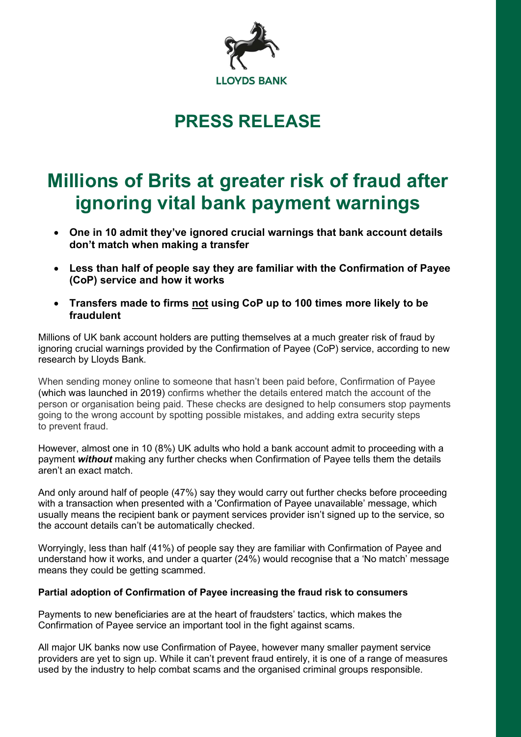

## PRESS RELEASE

# Millions of Brits at greater risk of fraud after ignoring vital bank payment warnings

- One in 10 admit they've ignored crucial warnings that bank account details don't match when making a transfer
- Less than half of people say they are familiar with the Confirmation of Payee (CoP) service and how it works
- Transfers made to firms not using CoP up to 100 times more likely to be fraudulent

Millions of UK bank account holders are putting themselves at a much greater risk of fraud by ignoring crucial warnings provided by the Confirmation of Payee (CoP) service, according to new research by Lloyds Bank.

When sending money online to someone that hasn't been paid before, Confirmation of Payee (which was launched in 2019) confirms whether the details entered match the account of the person or organisation being paid. These checks are designed to help consumers stop payments going to the wrong account by spotting possible mistakes, and adding extra security steps to prevent fraud.

However, almost one in 10 (8%) UK adults who hold a bank account admit to proceeding with a payment without making any further checks when Confirmation of Payee tells them the details aren't an exact match.

And only around half of people (47%) say they would carry out further checks before proceeding with a transaction when presented with a 'Confirmation of Payee unavailable' message, which usually means the recipient bank or payment services provider isn't signed up to the service, so the account details can't be automatically checked.

Worryingly, less than half (41%) of people say they are familiar with Confirmation of Payee and understand how it works, and under a quarter (24%) would recognise that a 'No match' message means they could be getting scammed.

### Partial adoption of Confirmation of Payee increasing the fraud risk to consumers

Payments to new beneficiaries are at the heart of fraudsters' tactics, which makes the Confirmation of Payee service an important tool in the fight against scams.

All major UK banks now use Confirmation of Payee, however many smaller payment service providers are yet to sign up. While it can't prevent fraud entirely, it is one of a range of measures used by the industry to help combat scams and the organised criminal groups responsible.